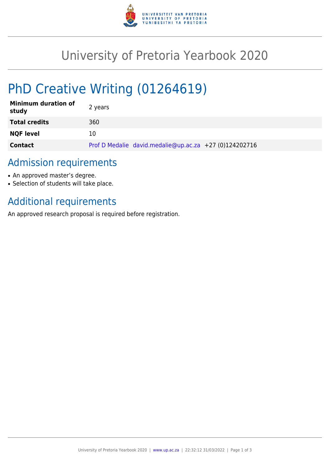

# University of Pretoria Yearbook 2020

# PhD Creative Writing (01264619)

| <b>Minimum duration of</b><br>study | 2 years                                                |
|-------------------------------------|--------------------------------------------------------|
| <b>Total credits</b>                | 360                                                    |
| <b>NQF level</b>                    | 10                                                     |
| <b>Contact</b>                      | Prof D Medalie david.medalie@up.ac.za +27 (0)124202716 |

### Admission requirements

- An approved master's degree.
- Selection of students will take place.

## Additional requirements

An approved research proposal is required before registration.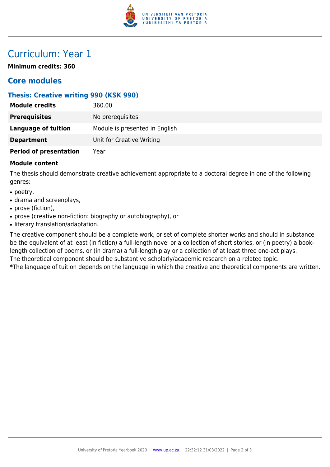

## Curriculum: Year 1

**Minimum credits: 360**

### **Core modules**

#### **Thesis: Creative writing 990 (KSK 990)**

| <b>Module credits</b>         | 360.00                         |
|-------------------------------|--------------------------------|
| <b>Prerequisites</b>          | No prerequisites.              |
| <b>Language of tuition</b>    | Module is presented in English |
| <b>Department</b>             | Unit for Creative Writing      |
| <b>Period of presentation</b> | Year                           |

#### **Module content**

The thesis should demonstrate creative achievement appropriate to a doctoral degree in one of the following genres:

- poetry,
- drama and screenplays,
- prose (fiction),
- prose (creative non-fiction: biography or autobiography), or
- literary translation/adaptation.

The creative component should be a complete work, or set of complete shorter works and should in substance be the equivalent of at least (in fiction) a full-length novel or a collection of short stories, or (in poetry) a booklength collection of poems, or (in drama) a full-length play or a collection of at least three one-act plays. The theoretical component should be substantive scholarly/academic research on a related topic. **\***The language of tuition depends on the language in which the creative and theoretical components are written.